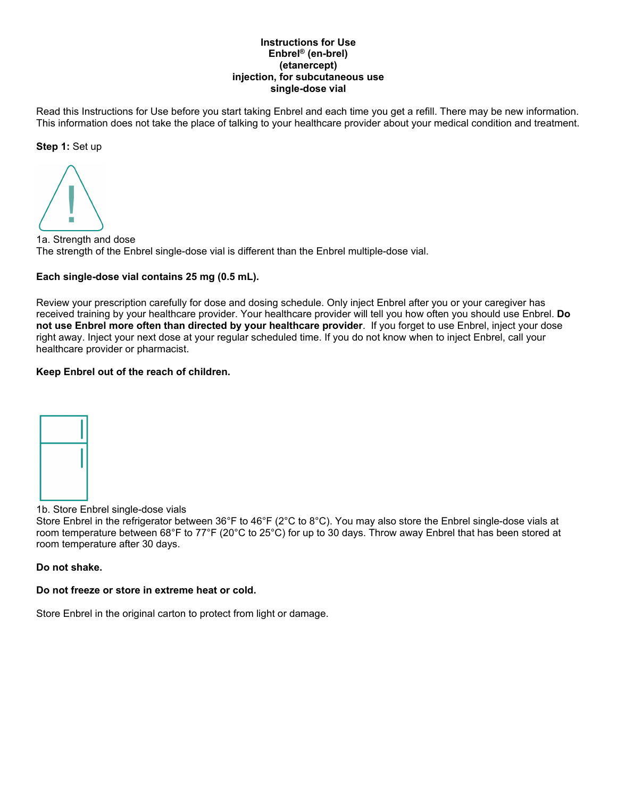#### **Instructions for Use Enbrel® (en-brel) (etanercept) injection, for subcutaneous use single-dose vial**

Read this Instructions for Use before you start taking Enbrel and each time you get a refill. There may be new information. This information does not take the place of talking to your healthcare provider about your medical condition and treatment.

**Step 1:** Set up

1a. Strength and dose The strength of the Enbrel single-dose vial is different than the Enbrel multiple-dose vial.

## **Each single-dose vial contains 25 mg (0.5 mL).**

Review your prescription carefully for dose and dosing schedule. Only inject Enbrel after you or your caregiver has received training by your healthcare provider. Your healthcare provider will tell you how often you should use Enbrel. **Do not use Enbrel more often than directed by your healthcare provider**. If you forget to use Enbrel, inject your dose right away. Inject your next dose at your regular scheduled time. If you do not know when to inject Enbrel, call your healthcare provider or pharmacist.

## **Keep Enbrel out of the reach of children.**



1b. Store Enbrel single-dose vials

Store Enbrel in the refrigerator between 36°F to 46°F (2°C to 8°C). You may also store the Enbrel single-dose vials at room temperature between 68°F to 77°F (20°C to 25°C) for up to 30 days. Throw away Enbrel that has been stored at room temperature after 30 days.

## **Do not shake.**

# **Do not freeze or store in extreme heat or cold.**

Store Enbrel in the original carton to protect from light or damage.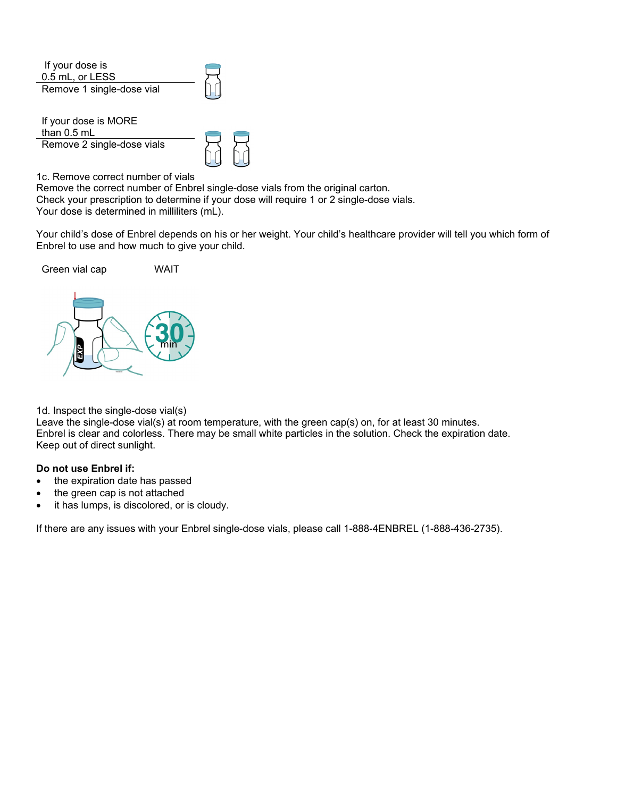| If your dose is<br>0.5 mL, or LESS    |  |
|---------------------------------------|--|
| Remove 1 single-dose vial             |  |
| If your dose is MORE<br>than $0.5$ mL |  |
| Remove 2 single-dose vials            |  |

1c. Remove correct number of vials

Remove the correct number of Enbrel single-dose vials from the original carton. Check your prescription to determine if your dose will require 1 or 2 single-dose vials. Your dose is determined in milliliters (mL).

Your child's dose of Enbrel depends on his or her weight. Your child's healthcare provider will tell you which form of Enbrel to use and how much to give your child.



1d. Inspect the single-dose vial(s)

Leave the single-dose vial(s) at room temperature, with the green cap(s) on, for at least 30 minutes. Enbrel is clear and colorless. There may be small white particles in the solution. Check the expiration date. Keep out of direct sunlight.

## **Do not use Enbrel if:**

- the expiration date has passed
- the green cap is not attached
- it has lumps, is discolored, or is cloudy.

If there are any issues with your Enbrel single-dose vials, please call 1-888-4ENBREL (1-888-436-2735).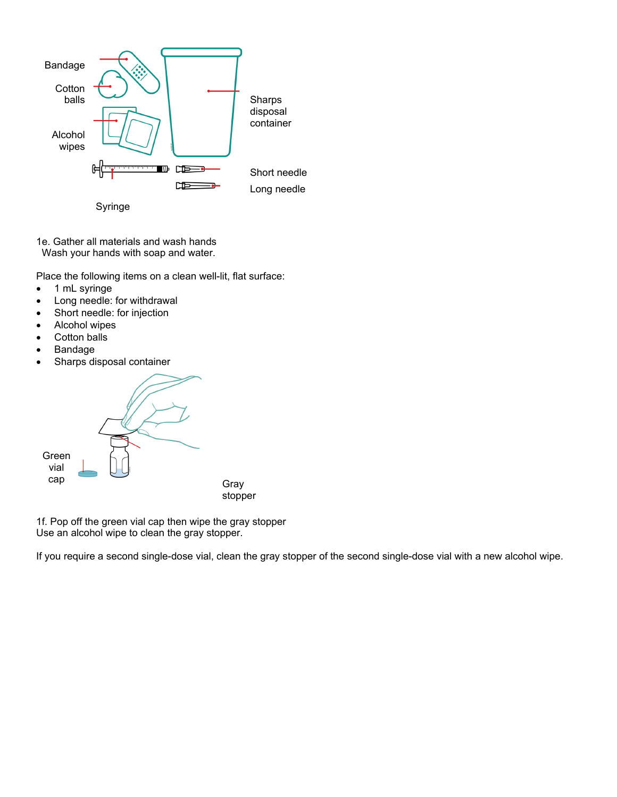

Syringe

1e. Gather all materials and wash hands Wash your hands with soap and water.

Place the following items on a clean well-lit, flat surface:

- 1 mL syringe
- Long needle: for withdrawal
- Short needle: for injection
- Alcohol wipes
- Cotton balls
- **Bandage**
- Sharps disposal container

Green vial cap Gray stopper

1f. Pop off the green vial cap then wipe the gray stopper Use an alcohol wipe to clean the gray stopper.

If you require a second single-dose vial, clean the gray stopper of the second single-dose vial with a new alcohol wipe.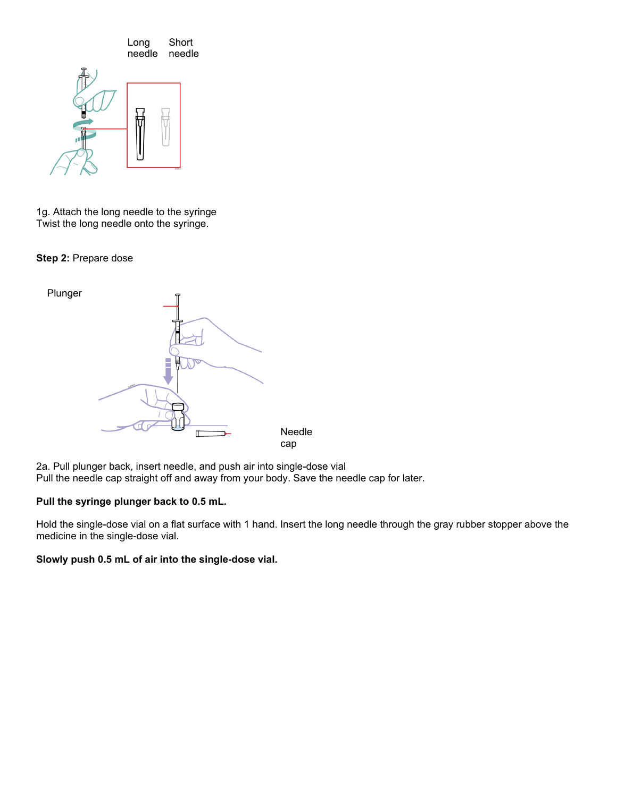

1g. Attach the long needle to the syringe Twist the long needle onto the syringe.

**Step 2:** Prepare dose



2a. Pull plunger back, insert needle, and push air into single-dose vial Pull the needle cap straight off and away from your body. Save the needle cap for later.

## **Pull the syringe plunger back to 0.5 mL.**

Hold the single-dose vial on a flat surface with 1 hand. Insert the long needle through the gray rubber stopper above the medicine in the single-dose vial.

## **Slowly push 0.5 mL of air into the single-dose vial.**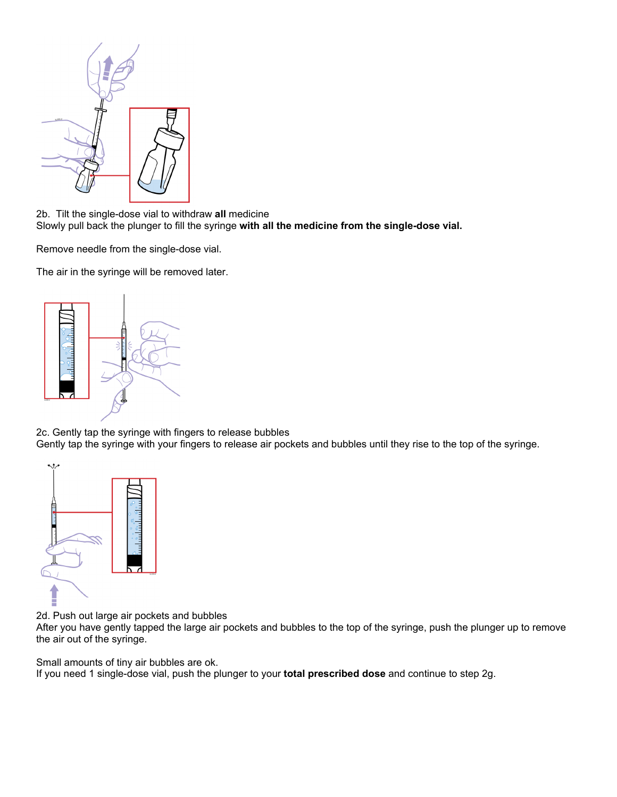

2b. Tilt the single-dose vial to withdraw **all** medicine Slowly pull back the plunger to fill the syringe **with all the medicine from the single-dose vial.** 

Remove needle from the single-dose vial.

The air in the syringe will be removed later.



2c. Gently tap the syringe with fingers to release bubbles Gently tap the syringe with your fingers to release air pockets and bubbles until they rise to the top of the syringe.



2d. Push out large air pockets and bubbles

After you have gently tapped the large air pockets and bubbles to the top of the syringe, push the plunger up to remove the air out of the syringe.

Small amounts of tiny air bubbles are ok.

If you need 1 single-dose vial, push the plunger to your **total prescribed dose** and continue to step 2g.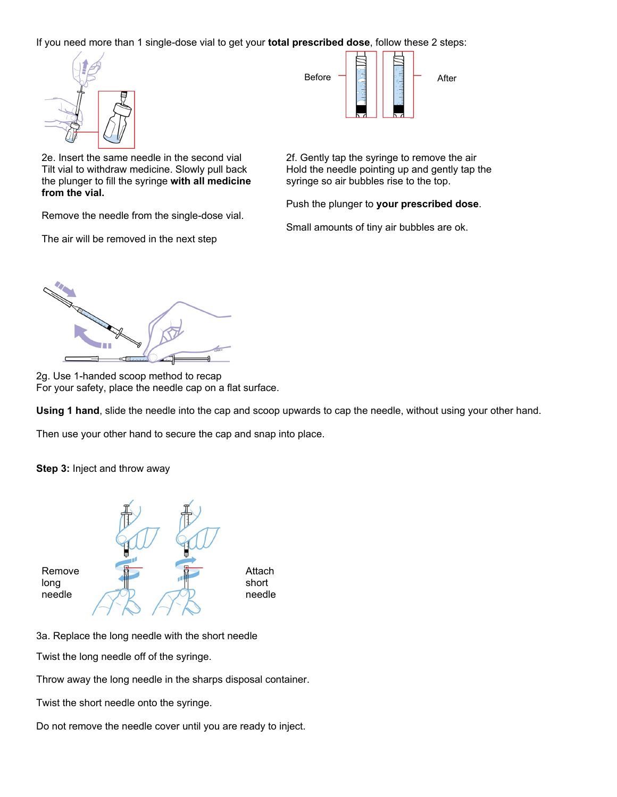If you need more than 1 single-dose vial to get your **total prescribed dose**, follow these 2 steps:



2e. Insert the same needle in the second vial 2f. Gently tap the syringe to remove the air Tilt vial to withdraw medicine. Slowly pull back the plunger to fill the syringe **with all medicine from the vial.** 

Remove the needle from the single-dose vial.

The air will be removed in the next step



Hold the needle pointing up and gently tap the syringe so air bubbles rise to the top.

Push the plunger to **your prescribed dose**.

Small amounts of tiny air bubbles are ok.



2g. Use 1-handed scoop method to recap For your safety, place the needle cap on a flat surface.

**Using 1 hand**, slide the needle into the cap and scoop upwards to cap the needle, without using your other hand.

Then use your other hand to secure the cap and snap into place.

**Step 3:** Inject and throw away



3a. Replace the long needle with the short needle

Twist the long needle off of the syringe.

Throw away the long needle in the sharps disposal container.

Twist the short needle onto the syringe.

Do not remove the needle cover until you are ready to inject.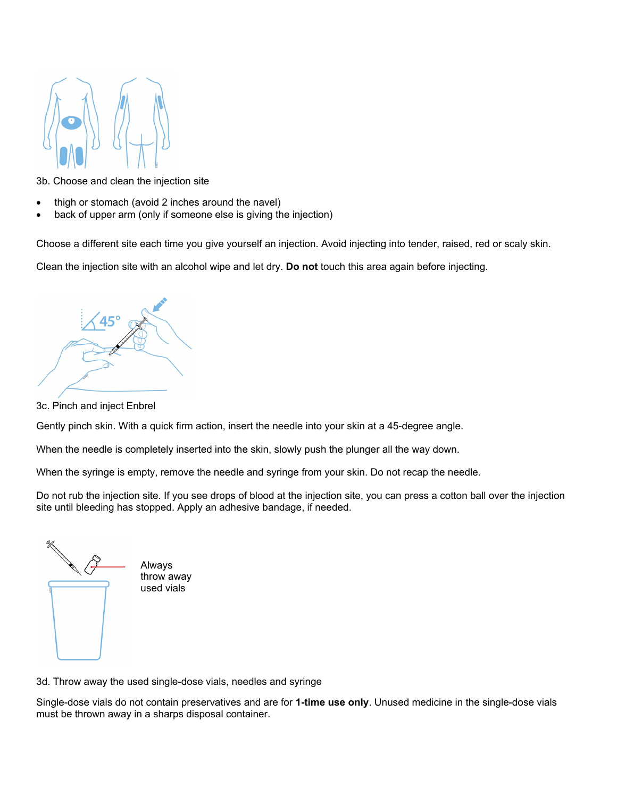

3b. Choose and clean the injection site

- thigh or stomach (avoid 2 inches around the navel)
- back of upper arm (only if someone else is giving the injection)

Choose a different site each time you give yourself an injection. Avoid injecting into tender, raised, red or scaly skin.

Clean the injection site with an alcohol wipe and let dry. **Do not** touch this area again before injecting.



3c. Pinch and inject Enbrel

Gently pinch skin. With a quick firm action, insert the needle into your skin at a 45-degree angle.

When the needle is completely inserted into the skin, slowly push the plunger all the way down.

When the syringe is empty, remove the needle and syringe from your skin. Do not recap the needle.

Do not rub the injection site. If you see drops of blood at the injection site, you can press a cotton ball over the injection site until bleeding has stopped. Apply an adhesive bandage, if needed.

Always throw away used vials

3d. Throw away the used single-dose vials, needles and syringe

Single-dose vials do not contain preservatives and are for **1-time use only**. Unused medicine in the single-dose vials must be thrown away in a sharps disposal container.